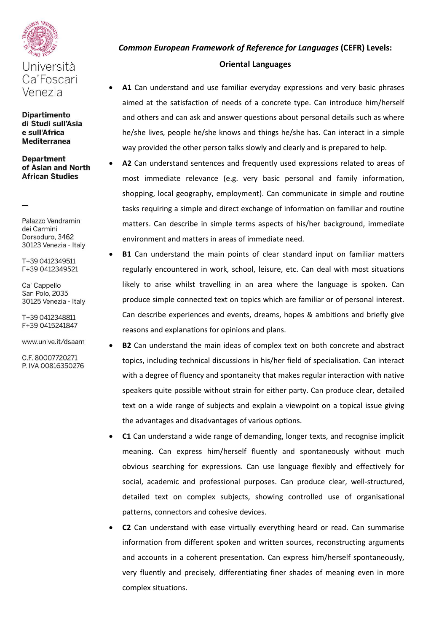

**Dipartimento** di Studi sull'Asia e sull'Africa **Mediterranea** 

**Department** of Asian and North **African Studies** 

Palazzo Vendramin dei Carmini Dorsoduro, 3462 30123 Venezia - Italy

T+39 0412349511 F+39 0412349521

Ca' Cappello San Polo, 2035 30125 Venezia - Italy

T+39 0412348811 F+39 0415241847

www.unive.it/dsaam

C.F. 80007720271 P. IVA 00816350276

### *Common European Framework of Reference for Languages* **(CEFR) Levels:**

#### **Oriental Languages**

- **A1** Can understand and use familiar everyday expressions and very basic phrases aimed at the satisfaction of needs of a concrete type. Can introduce him/herself and others and can ask and answer questions about personal details such as where he/she lives, people he/she knows and things he/she has. Can interact in a simple way provided the other person talks slowly and clearly and is prepared to help.
- **A2** Can understand sentences and frequently used expressions related to areas of most immediate relevance (e.g. very basic personal and family information, shopping, local geography, employment). Can communicate in simple and routine tasks requiring a simple and direct exchange of information on familiar and routine matters. Can describe in simple terms aspects of his/her background, immediate environment and matters in areas of immediate need.
- **B1** Can understand the main points of clear standard input on familiar matters regularly encountered in work, school, leisure, etc. Can deal with most situations likely to arise whilst travelling in an area where the language is spoken. Can produce simple connected text on topics which are familiar or of personal interest. Can describe experiences and events, dreams, hopes & ambitions and briefly give reasons and explanations for opinions and plans.
- **B2** Can understand the main ideas of complex text on both concrete and abstract topics, including technical discussions in his/her field of specialisation. Can interact with a degree of fluency and spontaneity that makes regular interaction with native speakers quite possible without strain for either party. Can produce clear, detailed text on a wide range of subjects and explain a viewpoint on a topical issue giving the advantages and disadvantages of various options.
- **C1** Can understand a wide range of demanding, longer texts, and recognise implicit meaning. Can express him/herself fluently and spontaneously without much obvious searching for expressions. Can use language flexibly and effectively for social, academic and professional purposes. Can produce clear, well-structured, detailed text on complex subjects, showing controlled use of organisational patterns, connectors and cohesive devices.
- **C2** Can understand with ease virtually everything heard or read. Can summarise information from different spoken and written sources, reconstructing arguments and accounts in a coherent presentation. Can express him/herself spontaneously, very fluently and precisely, differentiating finer shades of meaning even in more complex situations.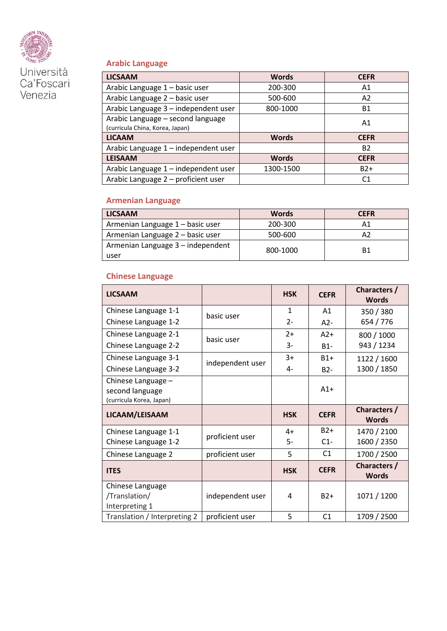

# **Arabic Language**

| <b>LICSAAM</b>                                                       | <b>Words</b> | <b>CEFR</b> |
|----------------------------------------------------------------------|--------------|-------------|
| Arabic Language 1 - basic user                                       | 200-300      | A1          |
| Arabic Language 2 - basic user                                       | 500-600      | A2          |
| Arabic Language 3 - independent user                                 | 800-1000     | <b>B1</b>   |
| Arabic Language - second language<br>(curricula China, Korea, Japan) |              | A1          |
| <b>LICAAM</b>                                                        | <b>Words</b> | <b>CEFR</b> |
| Arabic Language 1 - independent user                                 |              | <b>B2</b>   |
| <b>LEISAAM</b>                                                       | <b>Words</b> | <b>CEFR</b> |
| Arabic Language 1 - independent user                                 | 1300-1500    | $B2+$       |
| Arabic Language 2 - proficient user                                  |              | C1          |

#### **Armenian Language**

| <b>LICSAAM</b>                            | <b>Words</b> | <b>CEFR</b> |
|-------------------------------------------|--------------|-------------|
| Armenian Language 1 - basic user          | 200-300      | Α1          |
| Armenian Language 2 – basic user          | 500-600      | A2          |
| Armenian Language 3 - independent<br>user | 800-1000     | B1          |

### **Chinese Language**

| <b>LICSAAM</b>                                                    |                  | <b>HSK</b> | <b>CEFR</b> | Characters /<br><b>Words</b> |
|-------------------------------------------------------------------|------------------|------------|-------------|------------------------------|
| Chinese Language 1-1                                              | basic user       | 1          | A1          | 350 / 380                    |
| Chinese Language 1-2                                              |                  | $2 -$      | $A2-$       | 654 / 776                    |
| Chinese Language 2-1                                              | basic user       | $2+$       | $A2+$       | 800 / 1000                   |
| Chinese Language 2-2                                              |                  | $3-$       | $B1-$       | 943 / 1234                   |
| Chinese Language 3-1                                              | independent user | $3+$       | $B1+$       | 1122 / 1600                  |
| Chinese Language 3-2                                              |                  | $4-$       | $B2-$       | 1300 / 1850                  |
| Chinese Language -<br>second language<br>(curricula Korea, Japan) |                  |            | $A1+$       |                              |
|                                                                   |                  |            |             |                              |
| LICAAM/LEISAAM                                                    |                  | <b>HSK</b> | <b>CEFR</b> | Characters /<br><b>Words</b> |
| Chinese Language 1-1                                              |                  | $4+$       | $B2+$       | 1470 / 2100                  |
| Chinese Language 1-2                                              | proficient user  | $5-$       | $C1-$       | 1600 / 2350                  |
| Chinese Language 2                                                | proficient user  | 5          | C1          | 1700 / 2500                  |
| <b>ITES</b>                                                       |                  | <b>HSK</b> | <b>CEFR</b> | Characters /<br><b>Words</b> |
| Chinese Language                                                  |                  |            |             |                              |
| /Translation/                                                     | independent user | 4          | $B2+$       | 1071 / 1200                  |
| Interpreting 1<br>Translation / Interpreting 2                    | proficient user  | 5          | C1          | 1709 / 2500                  |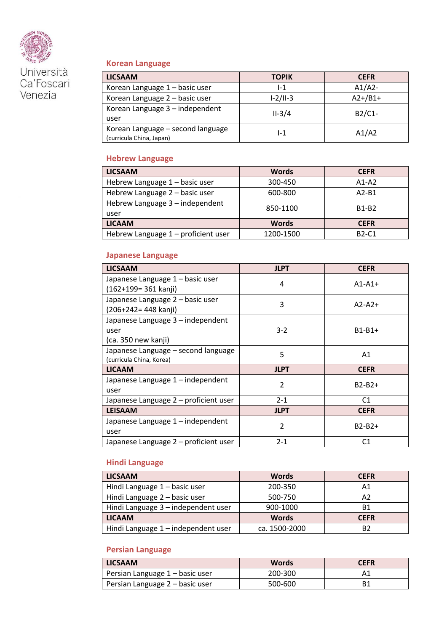

### **Korean Language**

| <b>LICSAAM</b>                                                | <b>TOPIK</b> | <b>CEFR</b> |
|---------------------------------------------------------------|--------------|-------------|
| Korean Language 1 - basic user                                | l-1          | $A1/A2-$    |
| Korean Language 2 - basic user                                | $1-2/11-3$   | $A2+/B1+$   |
| Korean Language 3 - independent<br>user                       | $II-3/4$     | $B2/C1-$    |
| Korean Language - second language<br>(curricula China, Japan) | l-1          | A1/A2       |

#### **Hebrew Language**

| <b>LICSAAM</b>                      | <b>Words</b> | <b>CEFR</b> |
|-------------------------------------|--------------|-------------|
| Hebrew Language 1 - basic user      | 300-450      | $A1-A2$     |
| Hebrew Language 2 - basic user      | 600-800      | $A2-B1$     |
| Hebrew Language 3 - independent     | 850-1100     | $B1-B2$     |
| user                                |              |             |
| <b>LICAAM</b>                       | <b>Words</b> | <b>CEFR</b> |
| Hebrew Language 1 - proficient user | 1200-1500    | $B2-C1$     |

#### **Japanese Language**

| <b>LICSAAM</b>                                                   | <b>JLPT</b>    | <b>CEFR</b> |
|------------------------------------------------------------------|----------------|-------------|
| Japanese Language 1 - basic user<br>(162+199= 361 kanji)         | 4              | $A1-A1+$    |
| Japanese Language 2 - basic user<br>(206+242= 448 kanji)         | 3              | $A2-A2+$    |
| Japanese Language 3 - independent<br>user<br>(ca. 350 new kanji) | $3 - 2$        | $B1-B1+$    |
| Japanese Language - second language<br>(curricula China, Korea)  | 5              | A1          |
| <b>LICAAM</b>                                                    | <b>JLPT</b>    | <b>CEFR</b> |
| Japanese Language 1 – independent<br>user                        | 2              | $B2-B2+$    |
| Japanese Language 2 - proficient user                            | $2 - 1$        | C1          |
| <b>LEISAAM</b>                                                   | <b>JLPT</b>    | <b>CEFR</b> |
| Japanese Language 1 - independent<br>user                        | $\overline{2}$ | $B2-B2+$    |
| Japanese Language 2 – proficient user                            | $2 - 1$        | C1          |

### **Hindi Language**

| <b>LICSAAM</b>                      | <b>Words</b>  | <b>CEFR</b> |
|-------------------------------------|---------------|-------------|
| Hindi Language 1 - basic user       | 200-350       | A1          |
| Hindi Language 2 - basic user       | 500-750       | A2          |
| Hindi Language 3 - independent user | 900-1000      | Β1          |
| <b>LICAAM</b>                       | <b>Words</b>  | <b>CEFR</b> |
| Hindi Language 1 - independent user | ca. 1500-2000 | B2          |

# **Persian Language**

| <b>LICSAAM</b>                  | <b>Words</b> | <b>CEFR</b> |
|---------------------------------|--------------|-------------|
| Persian Language 1 – basic user | 200-300      | A1          |
| Persian Language 2 – basic user | 500-600      | B1          |